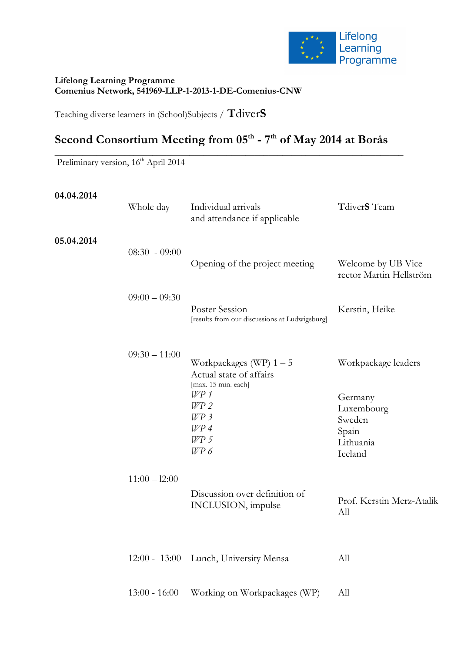

#### **Lifelong Learning Programme Comenius Network, 541969-LLP-1-2013-1-DE-Comenius-CNW**

Teaching diverse learners in (School)Subjects / **T**diver**S**

# **Second Consortium Meeting from 05th - 7th of May 2014 at Borås**

\_\_\_\_\_\_\_\_\_\_\_\_\_\_\_\_\_\_\_\_\_\_\_\_\_\_\_\_\_\_\_\_\_\_\_\_\_\_\_\_\_\_\_\_\_\_\_\_\_\_\_\_\_\_\_\_\_\_\_\_\_\_\_\_\_\_\_\_\_\_\_\_\_\_\_

Preliminary version, 16<sup>th</sup> April 2014

| 04.04.2014 | Whole day       | Individual arrivals<br>and attendance if applicable                                                                                      | TdiverS Team                                                                            |  |
|------------|-----------------|------------------------------------------------------------------------------------------------------------------------------------------|-----------------------------------------------------------------------------------------|--|
| 05.04.2014 | $08:30 - 09:00$ | Opening of the project meeting                                                                                                           | Welcome by UB Vice<br>rector Martin Hellström                                           |  |
|            | $09:00 - 09:30$ | Poster Session<br>[results from our discussions at Ludwigsburg]                                                                          | Kerstin, Heike                                                                          |  |
|            | $09:30 - 11:00$ | Workpackages (WP) $1-5$<br>Actual state of affairs<br>[max. 15 min. each]<br>$W\!P$ 1<br>$W\!P2$<br>W P 3<br>W P 4<br>$W\!P\!I$<br>W P 6 | Workpackage leaders<br>Germany<br>Luxembourg<br>Sweden<br>Spain<br>Lithuania<br>Iceland |  |
|            | $11:00 - 12:00$ | Discussion over definition of<br>INCLUSION, impulse                                                                                      | Prof. Kerstin Merz-Atalik<br>All                                                        |  |
|            | $12:00 - 13:00$ | Lunch, University Mensa                                                                                                                  | All                                                                                     |  |

13:00 - 16:00 Working on Workpackages (WP) All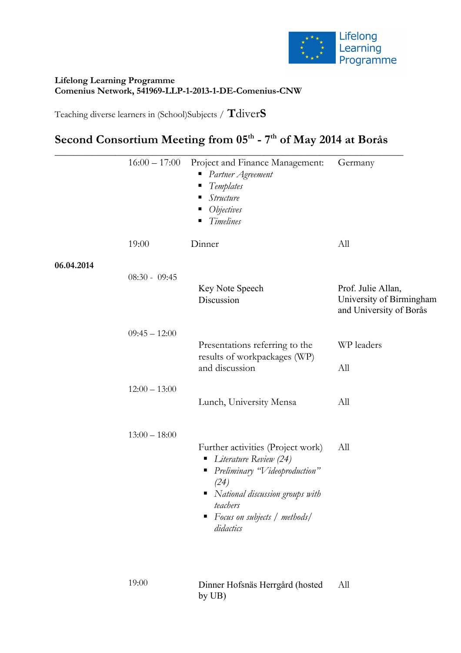

### **Lifelong Learning Programme Comenius Network, 541969-LLP-1-2013-1-DE-Comenius-CNW**

Teaching diverse learners in (School)Subjects / **T**diver**S**

## **Second Consortium Meeting from 05th - 7th of May 2014 at Borås**

|            | $16:00 - 17:00$ | Project and Finance Management:<br>Partner Agreement<br>Ξ<br>Templates<br>Е<br>Structure<br>п<br><i>Objectives</i><br>Timelines                                                                              | Germany                                                                   |
|------------|-----------------|--------------------------------------------------------------------------------------------------------------------------------------------------------------------------------------------------------------|---------------------------------------------------------------------------|
|            | 19:00           | Dinner                                                                                                                                                                                                       | All                                                                       |
| 06.04.2014 | $08:30 - 09:45$ |                                                                                                                                                                                                              |                                                                           |
|            |                 | Key Note Speech<br>Discussion                                                                                                                                                                                | Prof. Julie Allan,<br>University of Birmingham<br>and University of Borås |
|            | $09:45 - 12:00$ | Presentations referring to the<br>results of workpackages (WP)                                                                                                                                               | WP leaders                                                                |
|            |                 | and discussion                                                                                                                                                                                               | All                                                                       |
|            | $12:00 - 13:00$ | Lunch, University Mensa                                                                                                                                                                                      | All                                                                       |
|            | $13:00 - 18:00$ |                                                                                                                                                                                                              |                                                                           |
|            |                 | Further activities (Project work)<br>• Literature Review (24)<br>Preliminary "Videoproduction"<br>п<br>(24)<br>National discussion groups with<br>teachers<br>Focus on subjects / methods/<br>٠<br>didactics | All                                                                       |